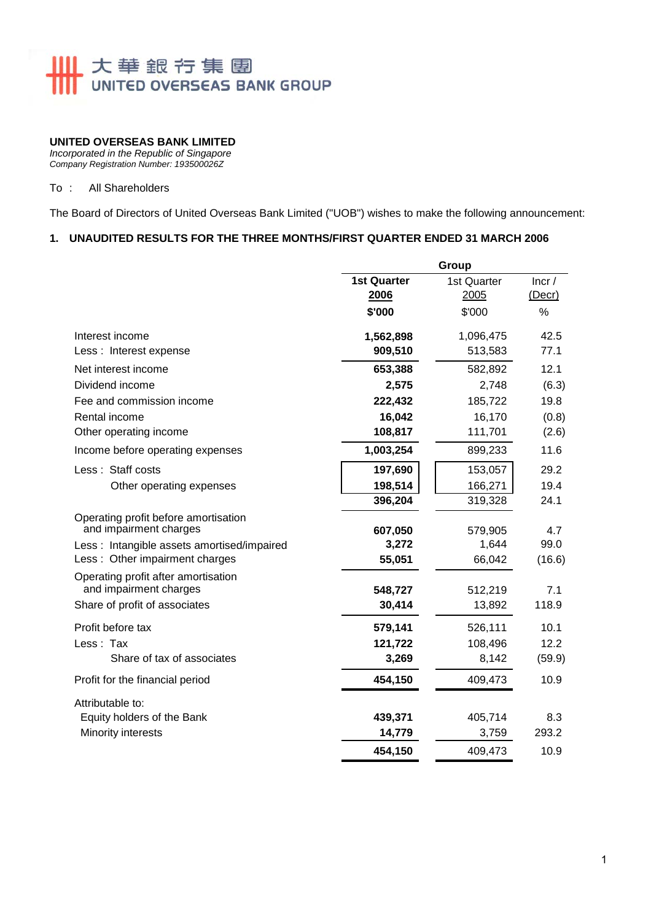

#### **UNITED OVERSEAS BANK LIMITED**

*Incorporated in the Republic of Singapore Company Registration Number: 193500026Z* 

#### To : All Shareholders

The Board of Directors of United Overseas Bank Limited ("UOB") wishes to make the following announcement:

### **1. UNAUDITED RESULTS FOR THE THREE MONTHS/FIRST QUARTER ENDED 31 MARCH 2006**

|                                                                | Group                      |                     |                 |  |
|----------------------------------------------------------------|----------------------------|---------------------|-----------------|--|
|                                                                | <b>1st Quarter</b><br>2006 | 1st Quarter<br>2005 | Incr/<br>(Decr) |  |
|                                                                | \$'000                     | \$'000              | %               |  |
| Interest income                                                | 1,562,898                  | 1,096,475           | 42.5            |  |
| Less : Interest expense                                        | 909,510                    | 513,583             | 77.1            |  |
| Net interest income                                            | 653,388                    | 582,892             | 12.1            |  |
| Dividend income                                                | 2,575                      | 2,748               | (6.3)           |  |
| Fee and commission income                                      | 222,432                    | 185,722             | 19.8            |  |
| Rental income                                                  | 16,042                     | 16,170              | (0.8)           |  |
| Other operating income                                         | 108,817                    | 111,701             | (2.6)           |  |
| Income before operating expenses                               | 1,003,254                  | 899,233             | 11.6            |  |
| Less: Staff costs                                              | 197,690                    | 153,057             | 29.2            |  |
| Other operating expenses                                       | 198,514                    | 166,271             | 19.4            |  |
|                                                                | 396,204                    | 319,328             | 24.1            |  |
| Operating profit before amortisation<br>and impairment charges | 607,050                    | 579,905             | 4.7             |  |
| Less: Intangible assets amortised/impaired                     | 3,272                      | 1,644               | 99.0            |  |
| Less: Other impairment charges                                 | 55,051                     | 66,042              | (16.6)          |  |
| Operating profit after amortisation<br>and impairment charges  |                            |                     | 7.1             |  |
| Share of profit of associates                                  | 548,727<br>30,414          | 512,219<br>13,892   | 118.9           |  |
|                                                                |                            |                     |                 |  |
| Profit before tax                                              | 579,141                    | 526,111             | 10.1            |  |
| Less: Tax                                                      | 121,722                    | 108,496             | 12.2            |  |
| Share of tax of associates                                     | 3,269                      | 8,142               | (59.9)          |  |
| Profit for the financial period                                | 454,150                    | 409,473             | 10.9            |  |
| Attributable to:                                               |                            |                     |                 |  |
| Equity holders of the Bank                                     | 439,371                    | 405,714             | 8.3             |  |
| Minority interests                                             | 14,779                     | 3,759               | 293.2           |  |
|                                                                | 454,150                    | 409,473             | 10.9            |  |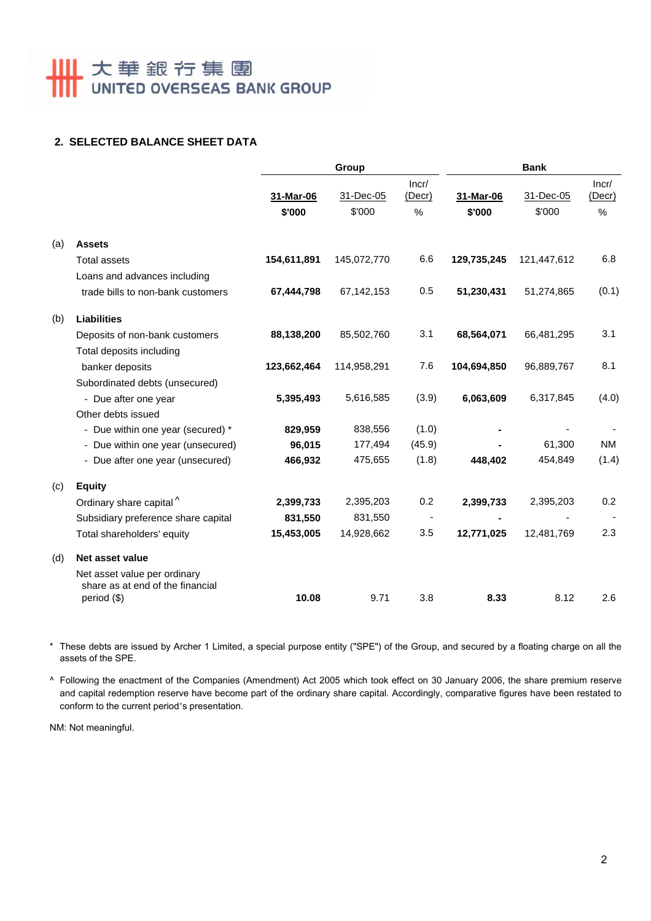# **Ⅲ 大華銀行集團**

## **2. SELECTED BALANCE SHEET DATA**

|     |                                                                                 | Group       |             | <b>Bank</b>              |             |             |                 |
|-----|---------------------------------------------------------------------------------|-------------|-------------|--------------------------|-------------|-------------|-----------------|
|     |                                                                                 | 31-Mar-06   | 31-Dec-05   | Incr/<br>(Decr)          | 31-Mar-06   | 31-Dec-05   | Incr/<br>(Decr) |
|     |                                                                                 | \$'000      | \$'000      | %                        | \$'000      | \$'000      | $\%$            |
| (a) | <b>Assets</b>                                                                   |             |             |                          |             |             |                 |
|     | <b>Total assets</b>                                                             | 154,611,891 | 145,072,770 | 6.6                      | 129,735,245 | 121,447,612 | 6.8             |
|     | Loans and advances including                                                    |             |             |                          |             |             |                 |
|     | trade bills to non-bank customers                                               | 67,444,798  | 67,142,153  | 0.5                      | 51,230,431  | 51,274,865  | (0.1)           |
| (b) | <b>Liabilities</b>                                                              |             |             |                          |             |             |                 |
|     | Deposits of non-bank customers                                                  | 88,138,200  | 85,502,760  | 3.1                      | 68,564,071  | 66,481,295  | 3.1             |
|     | Total deposits including                                                        |             |             |                          |             |             |                 |
|     | banker deposits                                                                 | 123,662,464 | 114,958,291 | 7.6                      | 104,694,850 | 96,889,767  | 8.1             |
|     | Subordinated debts (unsecured)                                                  |             |             |                          |             |             |                 |
|     | - Due after one year                                                            | 5,395,493   | 5,616,585   | (3.9)                    | 6,063,609   | 6,317,845   | (4.0)           |
|     | Other debts issued                                                              |             |             |                          |             |             |                 |
|     | - Due within one year (secured) *                                               | 829,959     | 838,556     | (1.0)                    |             |             |                 |
|     | - Due within one year (unsecured)                                               | 96,015      | 177,494     | (45.9)                   |             | 61,300      | <b>NM</b>       |
|     | - Due after one year (unsecured)                                                | 466,932     | 475,655     | (1.8)                    | 448,402     | 454,849     | (1.4)           |
| (c) | <b>Equity</b>                                                                   |             |             |                          |             |             |                 |
|     | Ordinary share capital <sup>^</sup>                                             | 2,399,733   | 2,395,203   | 0.2                      | 2,399,733   | 2,395,203   | 0.2             |
|     | Subsidiary preference share capital                                             | 831,550     | 831,550     | $\overline{\phantom{a}}$ |             |             |                 |
|     | Total shareholders' equity                                                      | 15,453,005  | 14,928,662  | 3.5                      | 12,771,025  | 12,481,769  | 2.3             |
| (d) | Net asset value                                                                 |             |             |                          |             |             |                 |
|     | Net asset value per ordinary<br>share as at end of the financial<br>period (\$) | 10.08       | 9.71        | 3.8                      | 8.33        | 8.12        | 2.6             |

\* These debts are issued by Archer 1 Limited, a special purpose entity ("SPE") of the Group, and secured by a floating charge on all the assets of the SPE.

^ Following the enactment of the Companies (Amendment) Act 2005 which took effect on 30 January 2006, the share premium reserve and capital redemption reserve have become part of the ordinary share capital. Accordingly, comparative figures have been restated to conform to the current period's presentation.

NM: Not meaningful.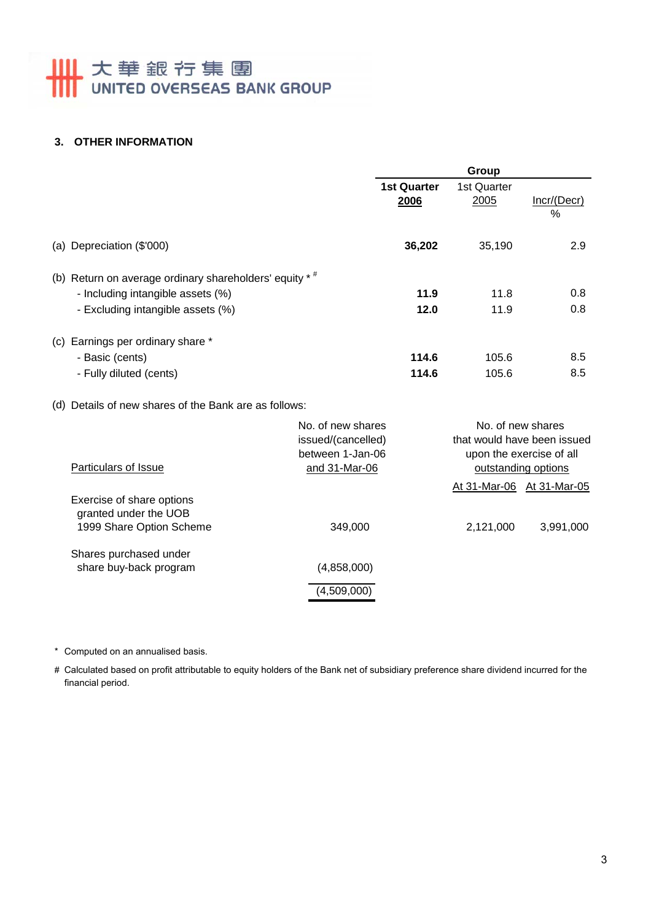# **Ⅲ 大華銀行集團**

## **3. OTHER INFORMATION**

| <b>1st Quarter</b><br>2006<br>36,202 | 1st Quarter<br>2005<br>35,190                                                                       | Incr/(Decr)<br>$\frac{0}{0}$<br>2.9                               |
|--------------------------------------|-----------------------------------------------------------------------------------------------------|-------------------------------------------------------------------|
|                                      |                                                                                                     |                                                                   |
|                                      |                                                                                                     |                                                                   |
| 11.9                                 | 11.8                                                                                                | 0.8<br>0.8                                                        |
| 114.6                                | 105.6                                                                                               | 8.5                                                               |
| 114.6                                | 105.6                                                                                               | 8.5                                                               |
| issued/(cancelled)                   | No. of new shares<br>that would have been issued<br>upon the exercise of all<br>outstanding options |                                                                   |
|                                      | 12.0                                                                                                | 11.9<br>$A + 24$ $M_{\odot}$ $A$ $C$ $A + 24$ $M_{\odot}$ $A$ $C$ |

|                                                                                |             |           | At 31-Mar-06 At 31-Mar-05 |
|--------------------------------------------------------------------------------|-------------|-----------|---------------------------|
| Exercise of share options<br>granted under the UOB<br>1999 Share Option Scheme | 349,000     | 2,121,000 | 3,991,000                 |
|                                                                                |             |           |                           |
| Shares purchased under                                                         |             |           |                           |
| share buy-back program                                                         | (4,858,000) |           |                           |
|                                                                                | (4,509,000) |           |                           |

\* Computed on an annualised basis.

# Calculated based on profit attributable to equity holders of the Bank net of subsidiary preference share dividend incurred for the financial period.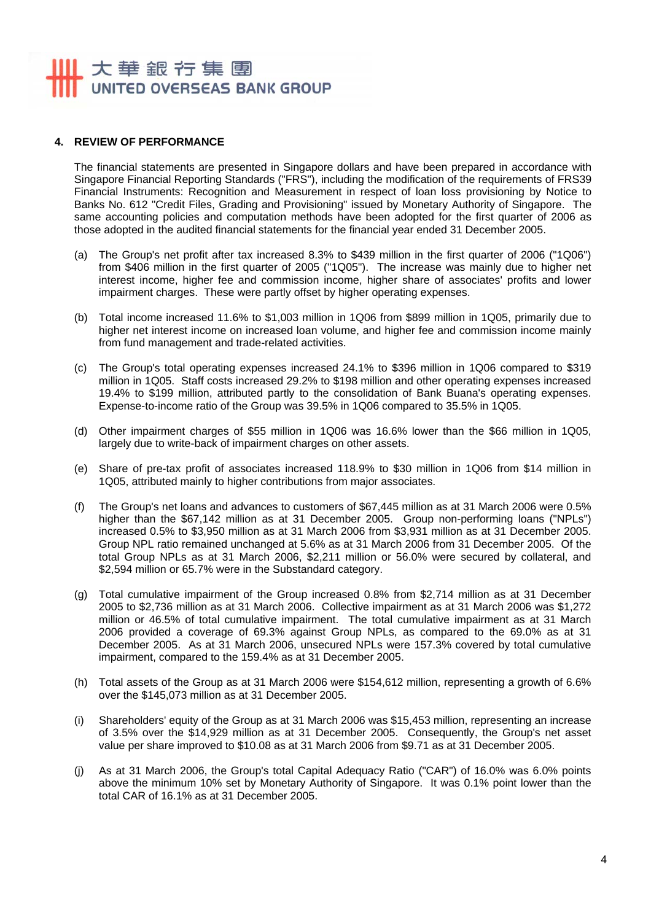# 大華銀行集團 UNITED OVERSEAS BANK GROUP

#### **4. REVIEW OF PERFORMANCE**

The financial statements are presented in Singapore dollars and have been prepared in accordance with Singapore Financial Reporting Standards ("FRS"), including the modification of the requirements of FRS39 Financial Instruments: Recognition and Measurement in respect of loan loss provisioning by Notice to Banks No. 612 "Credit Files, Grading and Provisioning" issued by Monetary Authority of Singapore. The same accounting policies and computation methods have been adopted for the first quarter of 2006 as those adopted in the audited financial statements for the financial year ended 31 December 2005.

- (a) The Group's net profit after tax increased 8.3% to \$439 million in the first quarter of 2006 ("1Q06") from \$406 million in the first quarter of 2005 ("1Q05"). The increase was mainly due to higher net interest income, higher fee and commission income, higher share of associates' profits and lower impairment charges. These were partly offset by higher operating expenses.
- (b) Total income increased 11.6% to \$1,003 million in 1Q06 from \$899 million in 1Q05, primarily due to higher net interest income on increased loan volume, and higher fee and commission income mainly from fund management and trade-related activities.
- (c) The Group's total operating expenses increased 24.1% to \$396 million in 1Q06 compared to \$319 million in 1Q05. Staff costs increased 29.2% to \$198 million and other operating expenses increased 19.4% to \$199 million, attributed partly to the consolidation of Bank Buana's operating expenses. Expense-to-income ratio of the Group was 39.5% in 1Q06 compared to 35.5% in 1Q05.
- (d) Other impairment charges of \$55 million in 1Q06 was 16.6% lower than the \$66 million in 1Q05, largely due to write-back of impairment charges on other assets.
- (e) Share of pre-tax profit of associates increased 118.9% to \$30 million in 1Q06 from \$14 million in 1Q05, attributed mainly to higher contributions from major associates.
- (f) The Group's net loans and advances to customers of \$67,445 million as at 31 March 2006 were 0.5% higher than the \$67,142 million as at 31 December 2005. Group non-performing loans ("NPLs") increased 0.5% to \$3,950 million as at 31 March 2006 from \$3,931 million as at 31 December 2005. Group NPL ratio remained unchanged at 5.6% as at 31 March 2006 from 31 December 2005. Of the total Group NPLs as at 31 March 2006, \$2,211 million or 56.0% were secured by collateral, and \$2,594 million or 65.7% were in the Substandard category.
- (g) Total cumulative impairment of the Group increased 0.8% from \$2,714 million as at 31 December 2005 to \$2,736 million as at 31 March 2006. Collective impairment as at 31 March 2006 was \$1,272 million or 46.5% of total cumulative impairment. The total cumulative impairment as at 31 March 2006 provided a coverage of 69.3% against Group NPLs, as compared to the 69.0% as at 31 December 2005. As at 31 March 2006, unsecured NPLs were 157.3% covered by total cumulative impairment, compared to the 159.4% as at 31 December 2005.
- (h) Total assets of the Group as at 31 March 2006 were \$154,612 million, representing a growth of 6.6% over the \$145,073 million as at 31 December 2005.
- (i) Shareholders' equity of the Group as at 31 March 2006 was \$15,453 million, representing an increase of 3.5% over the \$14,929 million as at 31 December 2005. Consequently, the Group's net asset value per share improved to \$10.08 as at 31 March 2006 from \$9.71 as at 31 December 2005.
- (j) As at 31 March 2006, the Group's total Capital Adequacy Ratio ("CAR") of 16.0% was 6.0% points above the minimum 10% set by Monetary Authority of Singapore. It was 0.1% point lower than the total CAR of 16.1% as at 31 December 2005.